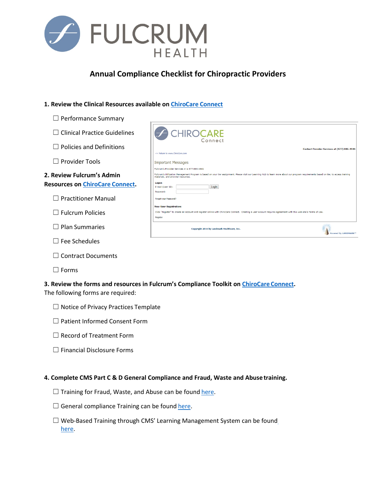

# **Annual Compliance Checklist for Chiropractic Providers**

#### **1. Review the Clinical Resources available on [ChiroCare](https://ccmiproviders.lmhealthcare.com/Login/tabid/73/Default.aspx?returnurl=%2fWelcome%2ftabid%2f219%2fDefault.aspx) Connect**

- □ Performance Summary
- ☐ Clinical Practice Guidelines
- ☐ Policies and Definitions
- ☐ Provider Tools

| 2. Review Fulcrum's Admin |                                        |  |
|---------------------------|----------------------------------------|--|
|                           | <b>Resources on ChiroCare Connect.</b> |  |

- ☐ Practitioner Manual
- ☐ Fulcrum Policies
- ☐ Plan Summaries
- $\Box$  Fee Schedules
- ☐ Contract Documents
- ☐ Forms

#### **3. Review the forms and resources in Fulcrum's Compliance Toolkit on [ChiroCare](https://ccmiproviders.lmhealthcare.com/Login/tabid/73/Default.aspx?returnurl=%2fWelcome%2ftabid%2f219%2fDefault.aspx) Connect.**

The following forms are required:

| $\Box$ Notice of Privacy Practices Template |  |  |
|---------------------------------------------|--|--|
|---------------------------------------------|--|--|

- ☐ Patient Informed Consent Form
- ☐ Record of Treatment Form
- ☐ Financial Disclosure Forms

#### **4. Complete CMS Part C & D General Compliance and Fraud, Waste and Abuse training.**

- $\Box$  Training for Fraud, Waste, and Abuse can be found [here.](https://www.chirocare.com/wp-content/uploads/2017/11/CMS-FWA-Training-Slides.pdf)
- $\Box$  General compliance Training can be found [here.](https://www.chirocare.com/wp-content/uploads/2017/11/CMS-Gerenal-Compliance-Training-Slides.pdf)
- ☐ Web-Based Training through CMS' Learning Management System can be found [here.](https://learner.mlnlms.com/Default.aspx)

| <b>A CHIROCARE</b><br>Connect                                                                                                                                                                                                 |  |  |
|-------------------------------------------------------------------------------------------------------------------------------------------------------------------------------------------------------------------------------|--|--|
| <b>Contact Provider Services at (877) 886-4941</b><br><< Return to www.ChiroCare.com                                                                                                                                          |  |  |
| <b>Important Messages</b>                                                                                                                                                                                                     |  |  |
| Fulcrum's Provider Services # is 877-886-4941                                                                                                                                                                                 |  |  |
| Fulcrum's Utilization Management Program is based on your tier assignment. Please visit our Learning Hub to learn more about our program requirements based on tier, to access training<br>materials, and provider resources. |  |  |
| Logon                                                                                                                                                                                                                         |  |  |
| E-mail (User ID):<br>Login                                                                                                                                                                                                    |  |  |
| Password:                                                                                                                                                                                                                     |  |  |
| Forgot your Password?                                                                                                                                                                                                         |  |  |
| <b>New User Registration:</b>                                                                                                                                                                                                 |  |  |
| Click "Register" to create an account and register online with ChiroCare Connect. Creating a user account requires agreement with this web site's Terms of Use.                                                               |  |  |
| Register                                                                                                                                                                                                                      |  |  |
| Copyright 2016 by Landmark Healthcare, Inc.<br>owered By LANDMARK™                                                                                                                                                            |  |  |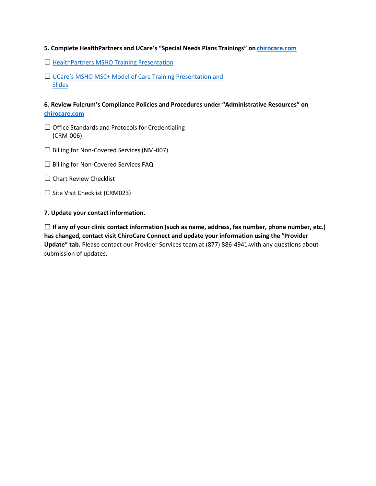#### **5. Complete HealthPartners and UCare's "Special Needs Plans Trainings" on [chirocare.com](http://www.chirocare.com./)**

- □ [HealthPartners MSHO Training](https://www.healthpartners.com/ucm/groups/public/%40hp/%40public/documents/documents/cntrb_041302.pdf) Presentation
- □ [UCare's MSHO MSC+ Model of Care Training Presentation and](https://www.ucare.org/providers/Care-Coordinators/Pages/Care-Coordination-Trainings.aspx) Slides

### **6. Review Fulcrum's Compliance Policies and Procedures under "Administrative Resources" o[n](http://www.chirocare.com/) [chirocare.com](http://www.chirocare.com/)**

- ☐ Office Standards and Protocols for Credentialing (CRM-006)
- ☐ Billing for Non-Covered Services(NM-007)
- ☐ Billing for Non-Covered Services FAQ
- □ Chart Review Checklist
- ☐ Site Visit Checklist (CRM023)

#### **7. Update your contact information.**

☐ **If any of your clinic contact information (such as name, address, fax number, phone number, etc.) has changed, contact visit ChiroCare Connect and update your information using the "Provider Update" tab.** Please contact our Provider Services team at (877) 886-4941 with any questions about submission of updates.